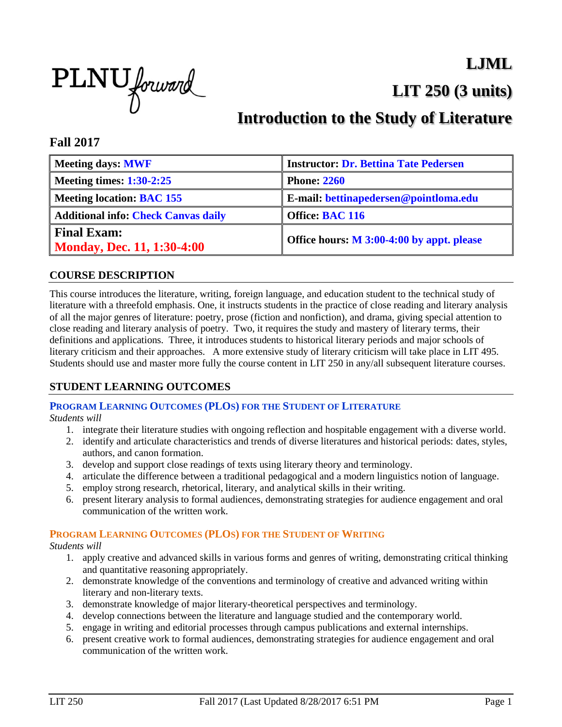

**LJML**

**LIT 250 (3 units)**

# **Introduction to the Study of Literature**

### **Fall 2017**

| <b>Meeting days: MWF</b>                                | <b>Instructor: Dr. Bettina Tate Pedersen</b> |
|---------------------------------------------------------|----------------------------------------------|
| <b>Meeting times: 1:30-2:25</b>                         | <b>Phone: 2260</b>                           |
| <b>Meeting location: BAC 155</b>                        | E-mail: bettinapedersen@pointloma.edu        |
| <b>Additional info: Check Canvas daily</b>              | Office: BAC 116                              |
| <b>Final Exam:</b><br><b>Monday, Dec. 11, 1:30-4:00</b> | Office hours: M 3:00-4:00 by appt. please    |

### **COURSE DESCRIPTION**

This course introduces the literature, writing, foreign language, and education student to the technical study of literature with a threefold emphasis. One, it instructs students in the practice of close reading and literary analysis of all the major genres of literature: poetry, prose (fiction and nonfiction), and drama, giving special attention to close reading and literary analysis of poetry. Two, it requires the study and mastery of literary terms, their definitions and applications. Three, it introduces students to historical literary periods and major schools of literary criticism and their approaches. A more extensive study of literary criticism will take place in LIT 495. Students should use and master more fully the course content in LIT 250 in any/all subsequent literature courses.

### **STUDENT LEARNING OUTCOMES**

### **PROGRAM LEARNING OUTCOMES (PLOS) FOR THE STUDENT OF LITERATURE**

*Students will*

- 1. integrate their literature studies with ongoing reflection and hospitable engagement with a diverse world.
- 2. identify and articulate characteristics and trends of diverse literatures and historical periods: dates, styles, authors, and canon formation.
- 3. develop and support close readings of texts using literary theory and terminology.
- 4. articulate the difference between a traditional pedagogical and a modern linguistics notion of language.
- 5. employ strong research, rhetorical, literary, and analytical skills in their writing.
- 6. present literary analysis to formal audiences, demonstrating strategies for audience engagement and oral communication of the written work.

#### **PROGRAM LEARNING OUTCOMES (PLOS) FOR THE STUDENT OF WRITING**

*Students will*

- 1. apply creative and advanced skills in various forms and genres of writing, demonstrating critical thinking and quantitative reasoning appropriately.
- 2. demonstrate knowledge of the conventions and terminology of creative and advanced writing within literary and non-literary texts.
- 3. demonstrate knowledge of major literary-theoretical perspectives and terminology.
- 4. develop connections between the literature and language studied and the contemporary world.
- 5. engage in writing and editorial processes through campus publications and external internships.
- 6. present creative work to formal audiences, demonstrating strategies for audience engagement and oral communication of the written work.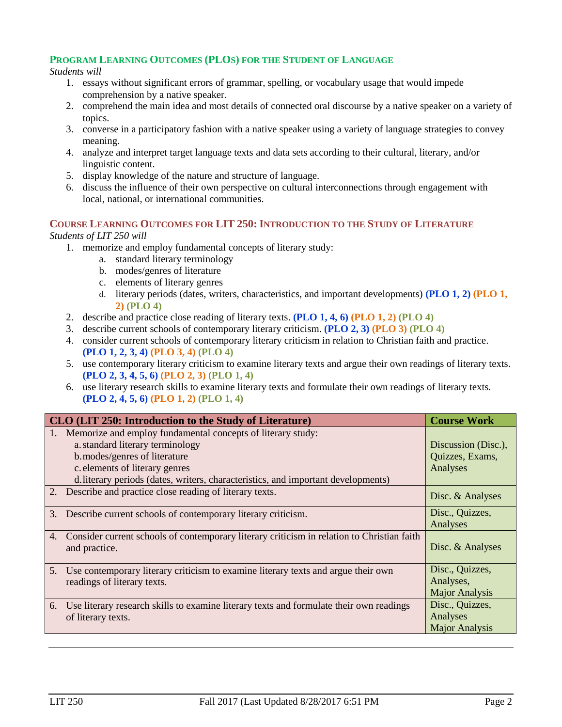#### **PROGRAM LEARNING OUTCOMES (PLOS) FOR THE STUDENT OF LANGUAGE**

#### *Students will*

- 1. essays without significant errors of grammar, spelling, or vocabulary usage that would impede comprehension by a native speaker.
- 2. comprehend the main idea and most details of connected oral discourse by a native speaker on a variety of topics.
- 3. converse in a participatory fashion with a native speaker using a variety of language strategies to convey meaning.
- 4. analyze and interpret target language texts and data sets according to their cultural, literary, and/or linguistic content.
- 5. display knowledge of the nature and structure of language.
- 6. discuss the influence of their own perspective on cultural interconnections through engagement with local, national, or international communities.

#### **COURSE LEARNING OUTCOMES FOR LIT 250: INTRODUCTION TO THE STUDY OF LITERATURE**

#### *Students of LIT 250 will*

- 1. memorize and employ fundamental concepts of literary study:
	- a. standard literary terminology
	- b. modes/genres of literature
	- c. elements of literary genres
	- d. literary periods (dates, writers, characteristics, and important developments) **(PLO 1, 2) (PLO 1, 2) (PLO 4)**
- 2. describe and practice close reading of literary texts. **(PLO 1, 4, 6) (PLO 1, 2) (PLO 4)**
- 3. describe current schools of contemporary literary criticism. **(PLO 2, 3) (PLO 3) (PLO 4)**
- 4. consider current schools of contemporary literary criticism in relation to Christian faith and practice. **(PLO 1, 2, 3, 4) (PLO 3, 4) (PLO 4)**
- 5. use contemporary literary criticism to examine literary texts and argue their own readings of literary texts. **(PLO 2, 3, 4, 5, 6) (PLO 2, 3) (PLO 1, 4)**
- 6. use literary research skills to examine literary texts and formulate their own readings of literary texts. **(PLO 2, 4, 5, 6) (PLO 1, 2) (PLO 1, 4)**

| CLO (LIT 250: Introduction to the Study of Literature)                                                            | <b>Course Work</b>    |
|-------------------------------------------------------------------------------------------------------------------|-----------------------|
| Memorize and employ fundamental concepts of literary study:                                                       |                       |
| a. standard literary terminology                                                                                  | Discussion (Disc.),   |
| b.modes/genres of literature                                                                                      | Quizzes, Exams,       |
| c. elements of literary genres                                                                                    | Analyses              |
| d. literary periods (dates, writers, characteristics, and important developments)                                 |                       |
| 2. Describe and practice close reading of literary texts.                                                         | Disc. & Analyses      |
| $\mathfrak{Z}$ .<br>Describe current schools of contemporary literary criticism.                                  | Disc., Quizzes,       |
|                                                                                                                   | Analyses              |
| Consider current schools of contemporary literary criticism in relation to Christian faith<br>4.<br>and practice. | Disc. & Analyses      |
|                                                                                                                   |                       |
| 5.<br>Use contemporary literary criticism to examine literary texts and argue their own                           | Disc., Quizzes,       |
| readings of literary texts.                                                                                       | Analyses,             |
|                                                                                                                   | <b>Major Analysis</b> |
| Use literary research skills to examine literary texts and formulate their own readings<br>6.                     | Disc., Quizzes,       |
| of literary texts.                                                                                                | Analyses              |
|                                                                                                                   | <b>Major Analysis</b> |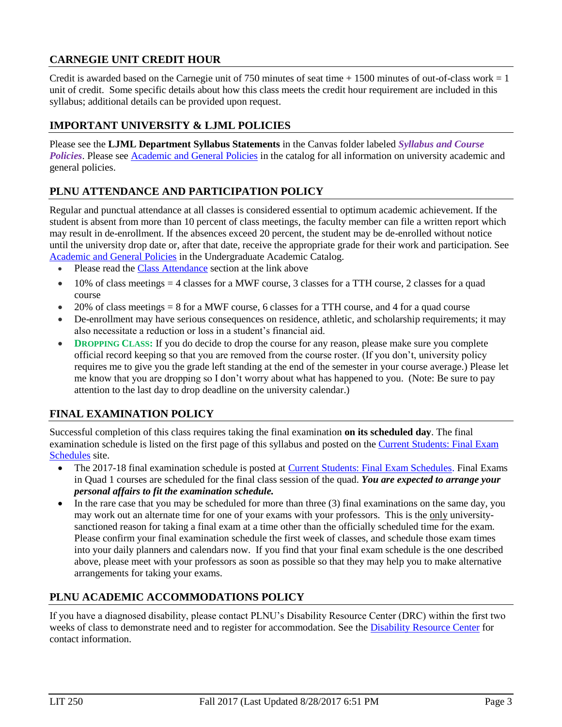### **CARNEGIE UNIT CREDIT HOUR**

Credit is awarded based on the Carnegie unit of 750 minutes of seat time  $+ 1500$  minutes of out-of-class work  $= 1$ unit of credit. Some specific details about how this class meets the credit hour requirement are included in this syllabus; additional details can be provided upon request.

### **IMPORTANT UNIVERSITY & LJML POLICIES**

Please see the **LJML Department Syllabus Statements** in the Canvas folder labeled *Syllabus and Course Policies*. Please see **Academic and General Policies** in the catalog for all information on university academic and general policies.

### **PLNU ATTENDANCE AND PARTICIPATION POLICY**

Regular and punctual attendance at all classes is considered essential to optimum academic achievement. If the student is absent from more than 10 percent of class meetings, the faculty member can file a written report which may result in de-enrollment. If the absences exceed 20 percent, the student may be de-enrolled without notice until the university drop date or, after that date, receive the appropriate grade for their work and participation. See [Academic and General Policies](https://catalog.pointloma.edu/content.php?catoid=28&navoid=1761) in the Undergraduate Academic Catalog.

- Please read th[e Class Attendance](https://catalog.pointloma.edu/content.php?catoid=28&navoid=1761#Class_Attendance) section at the link above
- $\bullet$  10% of class meetings = 4 classes for a MWF course, 3 classes for a TTH course, 2 classes for a quad course
- $\bullet$  20% of class meetings = 8 for a MWF course, 6 classes for a TTH course, and 4 for a quad course
- De-enrollment may have serious consequences on residence, athletic, and scholarship requirements; it may also necessitate a reduction or loss in a student's financial aid.
- **DROPPING CLASS:** If you do decide to drop the course for any reason, please make sure you complete official record keeping so that you are removed from the course roster. (If you don't, university policy requires me to give you the grade left standing at the end of the semester in your course average.) Please let me know that you are dropping so I don't worry about what has happened to you. (Note: Be sure to pay attention to the last day to drop deadline on the university calendar.)

### **FINAL EXAMINATION POLICY**

Successful completion of this class requires taking the final examination **on its scheduled day**. The final examination schedule is listed on the first page of this syllabus and posted on the Current Students: Final Exam [Schedules](https://www.pointloma.edu/current-students) site.

- The 2017-18 final examination schedule is posted at *Current Students: Final Exam Schedules*. Final Exams in Quad 1 courses are scheduled for the final class session of the quad. *You are expected to arrange your personal affairs to fit the examination schedule.*
- In the rare case that you may be scheduled for more than three (3) final examinations on the same day, you may work out an alternate time for one of your exams with your professors. This is the only universitysanctioned reason for taking a final exam at a time other than the officially scheduled time for the exam. Please confirm your final examination schedule the first week of classes, and schedule those exam times into your daily planners and calendars now. If you find that your final exam schedule is the one described above, please meet with your professors as soon as possible so that they may help you to make alternative arrangements for taking your exams.

### **PLNU ACADEMIC ACCOMMODATIONS POLICY**

If you have a diagnosed disability, please contact PLNU's Disability Resource Center (DRC) within the first two weeks of class to demonstrate need and to register for accommodation. See the [Disability Resource Center](http://www.pointloma.edu/experience/offices/administrative-offices/academic-advising-office/disability-resource-center) for contact information.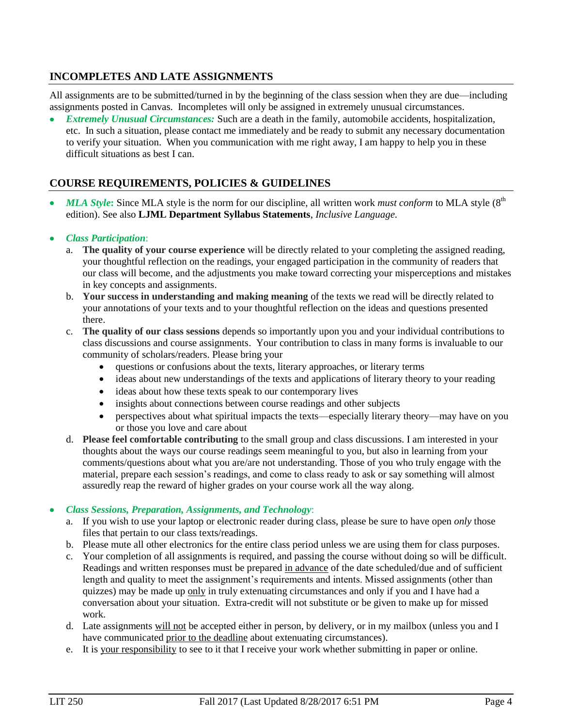### **INCOMPLETES AND LATE ASSIGNMENTS**

All assignments are to be submitted/turned in by the beginning of the class session when they are due—including assignments posted in Canvas. Incompletes will only be assigned in extremely unusual circumstances.

 *Extremely Unusual Circumstances:* Such are a death in the family, automobile accidents, hospitalization, etc. In such a situation, please contact me immediately and be ready to submit any necessary documentation to verify your situation. When you communication with me right away, I am happy to help you in these difficult situations as best I can.

### **COURSE REQUIREMENTS, POLICIES & GUIDELINES**

*MLA Style***:** Since MLA style is the norm for our discipline, all written work *must conform* to MLA style (8<sup>th</sup>) edition). See also **LJML Department Syllabus Statements**, *Inclusive Language*.

#### *Class Participation*:

- a. **The quality of your course experience** will be directly related to your completing the assigned reading, your thoughtful reflection on the readings, your engaged participation in the community of readers that our class will become, and the adjustments you make toward correcting your misperceptions and mistakes in key concepts and assignments.
- b. **Your success in understanding and making meaning** of the texts we read will be directly related to your annotations of your texts and to your thoughtful reflection on the ideas and questions presented there.
- c. **The quality of our class sessions** depends so importantly upon you and your individual contributions to class discussions and course assignments. Your contribution to class in many forms is invaluable to our community of scholars/readers. Please bring your
	- questions or confusions about the texts, literary approaches, or literary terms
	- ideas about new understandings of the texts and applications of literary theory to your reading
	- ideas about how these texts speak to our contemporary lives
	- insights about connections between course readings and other subjects
	- perspectives about what spiritual impacts the texts—especially literary theory—may have on you or those you love and care about
- d. **Please feel comfortable contributing** to the small group and class discussions. I am interested in your thoughts about the ways our course readings seem meaningful to you, but also in learning from your comments/questions about what you are/are not understanding. Those of you who truly engage with the material, prepare each session's readings, and come to class ready to ask or say something will almost assuredly reap the reward of higher grades on your course work all the way along.

#### *Class Sessions, Preparation, Assignments, and Technology*:

- a. If you wish to use your laptop or electronic reader during class, please be sure to have open *only* those files that pertain to our class texts/readings.
- b. Please mute all other electronics for the entire class period unless we are using them for class purposes.
- c. Your completion of all assignments is required, and passing the course without doing so will be difficult. Readings and written responses must be prepared in advance of the date scheduled/due and of sufficient length and quality to meet the assignment's requirements and intents. Missed assignments (other than quizzes) may be made up only in truly extenuating circumstances and only if you and I have had a conversation about your situation. Extra-credit will not substitute or be given to make up for missed work.
- d. Late assignments will not be accepted either in person, by delivery, or in my mailbox (unless you and I have communicated prior to the deadline about extenuating circumstances).
- e. It is your responsibility to see to it that I receive your work whether submitting in paper or online.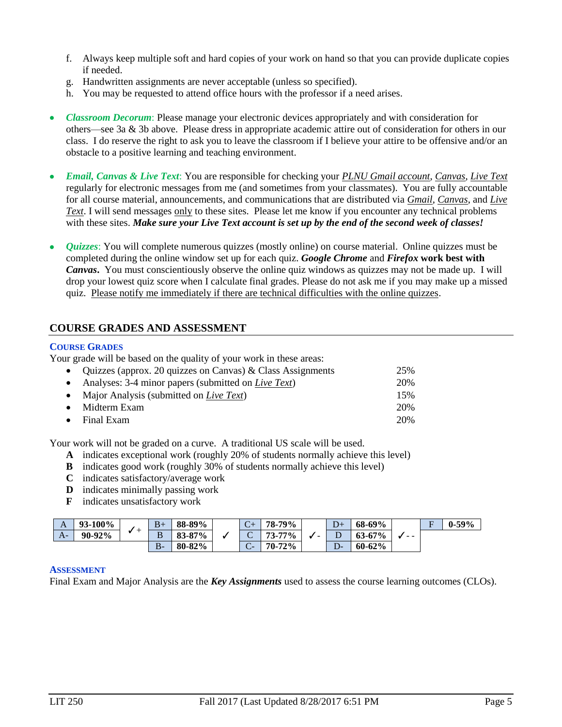- f. Always keep multiple soft and hard copies of your work on hand so that you can provide duplicate copies if needed.
- g. Handwritten assignments are never acceptable (unless so specified).
- h. You may be requested to attend office hours with the professor if a need arises.
- *Classroom Decorum*: Please manage your electronic devices appropriately and with consideration for others—see 3a & 3b above. Please dress in appropriate academic attire out of consideration for others in our class. I do reserve the right to ask you to leave the classroom if I believe your attire to be offensive and/or an obstacle to a positive learning and teaching environment.
- *Email, Canvas & Live Text*: You are responsible for checking your *PLNU Gmail account*, *Canvas*, *Live Text* regularly for electronic messages from me (and sometimes from your classmates). You are fully accountable for all course material, announcements, and communications that are distributed via *Gmail*, *Canvas*, and *Live Text*. I will send messages only to these sites. Please let me know if you encounter any technical problems with these sites. *Make sure your Live Text account is set up by the end of the second week of classes!*
- *Quizzes*: You will complete numerous quizzes (mostly online) on course material. Online quizzes must be completed during the online window set up for each quiz. *Google Chrome* and *Firefox* **work best with**  *Canvas***.** You must conscientiously observe the online quiz windows as quizzes may not be made up. I will drop your lowest quiz score when I calculate final grades. Please do not ask me if you may make up a missed quiz. Please notify me immediately if there are technical difficulties with the online quizzes.

#### **COURSE GRADES AND ASSESSMENT**

#### **COURSE GRADES**

Your grade will be based on the quality of your work in these areas:

| • Quizzes (approx. 20 quizzes on Canvas) & Class Assignments  | 25% |
|---------------------------------------------------------------|-----|
| • Analyses: 3-4 minor papers (submitted on <i>Live Text</i> ) | 20% |
| • Major Analysis (submitted on <i>Live Text</i> )             | 15% |
| $\bullet$ Midterm Exam                                        | 20% |
| $\bullet$ Final Exam                                          | 20% |

Your work will not be graded on a curve. A traditional US scale will be used.

- **A** indicates exceptional work (roughly 20% of students normally achieve this level)
- **B** indicates good work (roughly 30% of students normally achieve this level)
- **C** indicates satisfactory/average work
- **D** indicates minimally passing work
- **F** indicates unsatisfactory work

| A    | <b>93-100%</b> |  | $B+$   | 88-89%                          | $\sim$<br>$\ddot{\phantom{0}}$     | 79%<br>78.   |   | $D+$ | 68-69%     | $ -$ | $\blacksquare$ | $0-59%$ |
|------|----------------|--|--------|---------------------------------|------------------------------------|--------------|---|------|------------|------|----------------|---------|
| $A-$ | 90-92%         |  | D<br>D | 87%<br>$\mathbf{O}$<br>. ია-ი . | ◡                                  | 73-77%       | - | υ    | $63 - 67%$ |      |                |         |
|      |                |  | $B -$  | 80-82%                          | $\overline{\phantom{0}}$<br>-<br>Č | 72%<br>$70-$ |   | D-   | $60 - 62%$ |      |                |         |

#### **ASSESSMENT**

Final Exam and Major Analysis are the *Key Assignments* used to assess the course learning outcomes (CLOs).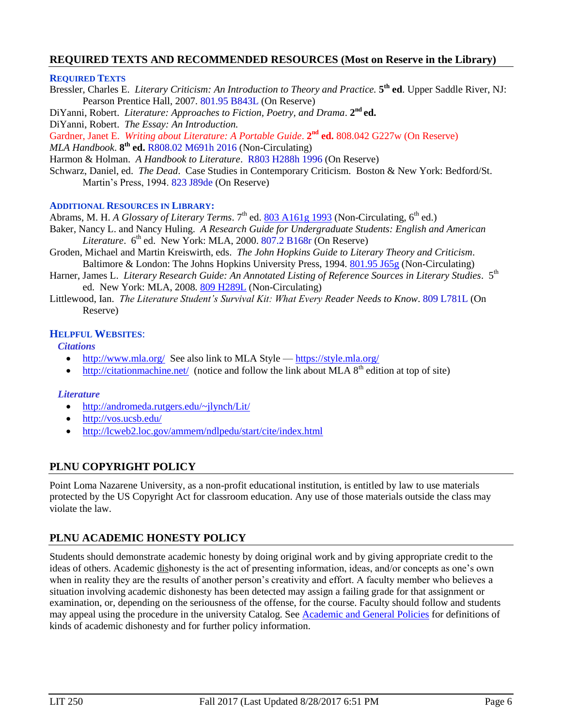#### **REQUIRED TEXTS AND RECOMMENDED RESOURCES (Most on Reserve in the Library)**

#### **REQUIRED TEXTS**

Bressler, Charles E. *Literary Criticism: An Introduction to Theory and Practice.* **5 th ed**. Upper Saddle River, NJ: Pearson Prentice Hall, 2007. 801.95 B843L (On Reserve)

DiYanni, Robert. *Literature: Approaches to Fiction, Poetry, and Drama.* 2<sup>nd</sup> ed.

DiYanni, Robert. *The Essay: An Introduction.*

Gardner, Janet E. Writing about Literature: A Portable Guide. 2<sup>nd</sup> ed. 808.042 G227w (On Reserve)

*MLA Handbook*. **8 th ed.** R808.02 M691h 2016 (Non-Circulating)

Harmon & Holman. *A Handbook to Literature*. R803 H288h 1996 (On Reserve)

Schwarz, Daniel, ed. *The Dead*. Case Studies in Contemporary Criticism. Boston & New York: Bedford/St. Martin's Press, 1994. 823 J89de (On Reserve)

#### **ADDITIONAL RESOURCES IN LIBRARY:**

Abrams, M. H. *A Glossary of Literary Terms*. 7<sup>th</sup> ed. **803 A161g 1993** (Non-Circulating, 6<sup>th</sup> ed.)

Baker, Nancy L. and Nancy Huling. *A Research Guide for Undergraduate Students: English and American Literature*.  $6<sup>th</sup>$  ed. New York: MLA, 2000. 807.2 B168r (On Reserve)

- Groden, Michael and Martin Kreiswirth, eds. *The John Hopkins Guide to Literary Theory and Criticism*. Baltimore & London: The Johns Hopkins University Press, 1994. [801.95 J65g](http://phineas.pointloma.edu/search~S0?/c801.95+J65g/c801.95+j65g/-3,-1,,E/browse) (Non-Circulating)
- Harner, James L. *Literary Research Guide: An Annotated Listing of Reference Sources in Literary Studies*. 5<sup>th</sup> ed. New York: MLA, 2008. [809 H289L](http://phineas.pointloma.edu/search~S0?/c809+H289L/c809+h289l/-3,-1,,E/browse) (Non-Circulating)
- Littlewood, Ian. *The Literature Student's Survival Kit: What Every Reader Needs to Know*. 809 L781L (On Reserve)

#### **HELPFUL WEBSITES**:

*Citations*

- <http://www.mla.org/>See also link to MLA Style <https://style.mla.org/>
- <http://citationmachine.net/>(notice and follow the link about MLA  $8<sup>th</sup>$  edition at top of site)

#### *Literature*

- <http://andromeda.rutgers.edu/~jlynch/Lit/>
- <http://vos.ucsb.edu/>
- <http://lcweb2.loc.gov/ammem/ndlpedu/start/cite/index.html>

### **PLNU COPYRIGHT POLICY**

Point Loma Nazarene University, as a non-profit educational institution, is entitled by law to use materials protected by the US Copyright Act for classroom education. Any use of those materials outside the class may violate the law.

### **PLNU ACADEMIC HONESTY POLICY**

Students should demonstrate academic honesty by doing original work and by giving appropriate credit to the ideas of others. Academic dishonesty is the act of presenting information, ideas, and/or concepts as one's own when in reality they are the results of another person's creativity and effort. A faculty member who believes a situation involving academic dishonesty has been detected may assign a failing grade for that assignment or examination, or, depending on the seriousness of the offense, for the course. Faculty should follow and students may appeal using the procedure in the university Catalog. See [Academic and General Policies](https://catalog.pointloma.edu/content.php?catoid=28&navoid=1761) for definitions of kinds of academic dishonesty and for further policy information.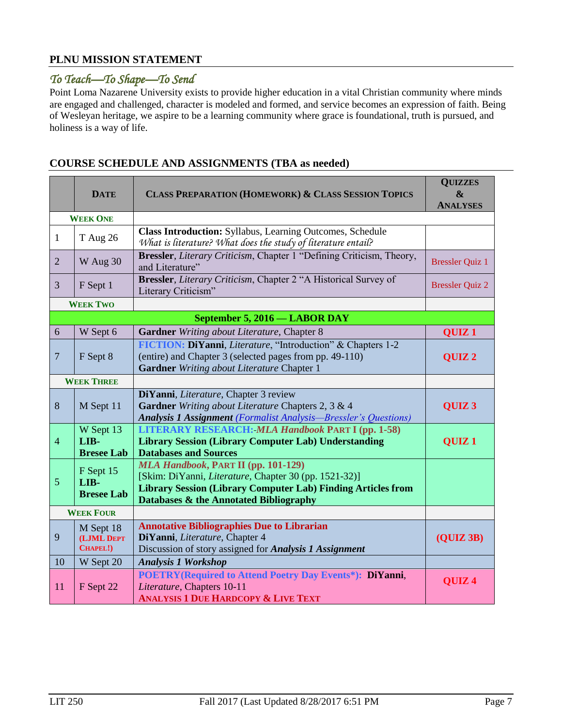### **PLNU MISSION STATEMENT**

## *To Teach—To Shape—To Send*

Point Loma Nazarene University exists to provide higher education in a vital Christian community where minds are engaged and challenged, character is modeled and formed, and service becomes an expression of faith. Being of Wesleyan heritage, we aspire to be a learning community where grace is foundational, truth is pursued, and holiness is a way of life.

|                 | <b>DATE</b>                            | <b>CLASS PREPARATION (HOMEWORK) &amp; CLASS SESSION TOPICS</b>                                                                                                                                                       | <b>QUIZZES</b><br>&<br><b>ANALYSES</b> |
|-----------------|----------------------------------------|----------------------------------------------------------------------------------------------------------------------------------------------------------------------------------------------------------------------|----------------------------------------|
| <b>WEEK ONE</b> |                                        |                                                                                                                                                                                                                      |                                        |
| $\mathbf{1}$    | <b>T</b> Aug 26                        | Class Introduction: Syllabus, Learning Outcomes, Schedule<br>What is literature? What does the study of literature entail?                                                                                           |                                        |
| $\overline{2}$  | W Aug 30                               | Bressler, Literary Criticism, Chapter 1 "Defining Criticism, Theory,<br>and Literature"                                                                                                                              | <b>Bressler Quiz 1</b>                 |
| 3               | F Sept 1                               | Bressler, Literary Criticism, Chapter 2 "A Historical Survey of<br>Literary Criticism"                                                                                                                               | <b>Bressler Quiz 2</b>                 |
|                 | <b>WEEK TWO</b>                        |                                                                                                                                                                                                                      |                                        |
|                 |                                        | September 5, 2016 - LABOR DAY                                                                                                                                                                                        |                                        |
| 6               | W Sept 6                               | Gardner Writing about Literature, Chapter 8                                                                                                                                                                          | QUIZ <sub>1</sub>                      |
| $\overline{7}$  | F Sept 8                               | FICTION: DiYanni, Literature, "Introduction" & Chapters 1-2<br>(entire) and Chapter 3 (selected pages from pp. 49-110)<br><b>Gardner</b> Writing about Literature Chapter 1                                          | QUIZ <sub>2</sub>                      |
|                 | <b>WEEK THREE</b>                      |                                                                                                                                                                                                                      |                                        |
| $\,8\,$         | M Sept 11                              | DiYanni, Literature, Chapter 3 review<br>Gardner Writing about Literature Chapters 2, 3 & 4<br><b>Analysis 1 Assignment</b> (Formalist Analysis-Bressler's Questions)                                                | QUIZ <sub>3</sub>                      |
| $\overline{4}$  | W Sept 13<br>LIB-<br><b>Bresee Lab</b> | <b>LITERARY RESEARCH: MLA Handbook PART I (pp. 1-58)</b><br><b>Library Session (Library Computer Lab) Understanding</b><br><b>Databases and Sources</b>                                                              | QUIZ <sub>1</sub>                      |
| 5               | F Sept 15<br>LIB-<br><b>Bresee Lab</b> | <b>MLA Handbook, PART II (pp. 101-129)</b><br>[Skim: DiYanni, Literature, Chapter 30 (pp. 1521-32)]<br><b>Library Session (Library Computer Lab) Finding Articles from</b><br>Databases & the Annotated Bibliography |                                        |
|                 | <b>WEEK FOUR</b>                       |                                                                                                                                                                                                                      |                                        |
| 9               | M Sept 18<br>(LJML DEPT<br>CHAPEL!)    | <b>Annotative Bibliographies Due to Librarian</b><br>DiYanni, Literature, Chapter 4<br>Discussion of story assigned for Analysis 1 Assignment                                                                        | (QUIZ3B)                               |
| 10              | W Sept 20                              | <b>Analysis 1 Workshop</b>                                                                                                                                                                                           |                                        |
| 11              | F Sept 22                              | <b>POETRY</b> (Required to Attend Poetry Day Events*): DiYanni,<br>Literature, Chapters 10-11<br><b>ANALYSIS 1 DUE HARDCOPY &amp; LIVE TEXT</b>                                                                      | QUIZ <sub>4</sub>                      |

### **COURSE SCHEDULE AND ASSIGNMENTS (TBA as needed)**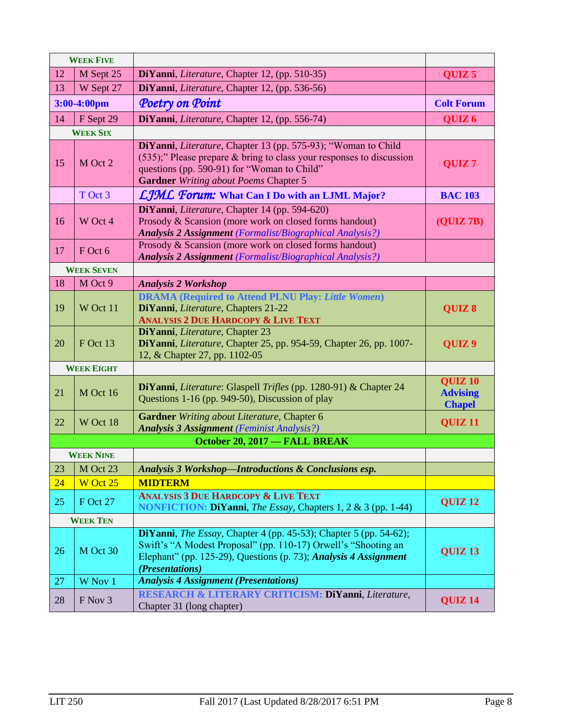|                | <b>WEEK FIVE</b>  |                                                                                                                                                                                                                                            |                                                    |
|----------------|-------------------|--------------------------------------------------------------------------------------------------------------------------------------------------------------------------------------------------------------------------------------------|----------------------------------------------------|
| 12             | M Sept 25         | DiYanni, Literature, Chapter 12, (pp. 510-35)                                                                                                                                                                                              | QUIZ <sub>5</sub>                                  |
| 13             | W Sept 27         | DiYanni, Literature, Chapter 12, (pp. 536-56)                                                                                                                                                                                              |                                                    |
| $3:00-4:00$ pm |                   | Poetry on Point                                                                                                                                                                                                                            | <b>Colt Forum</b>                                  |
| 14             | F Sept 29         | DiYanni, Literature, Chapter 12, (pp. 556-74)                                                                                                                                                                                              | QUIZ <sub>6</sub>                                  |
|                | <b>WEEK SIX</b>   |                                                                                                                                                                                                                                            |                                                    |
| 15             | M Oct 2           | DiYanni, Literature, Chapter 13 (pp. 575-93); "Woman to Child<br>$(535)$ ;" Please prepare & bring to class your responses to discussion<br>questions (pp. 590-91) for "Woman to Child"<br><b>Gardner</b> Writing about Poems Chapter 5    | QUIZ <sub>7</sub>                                  |
|                | T Oct 3           | LJML Forum: What Can I Do with an LJML Major?                                                                                                                                                                                              | <b>BAC 103</b>                                     |
| 16             | W Oct 4           | DiYanni, Literature, Chapter 14 (pp. 594-620)<br>Prosody & Scansion (more work on closed forms handout)<br><b>Analysis 2 Assignment</b> (Formalist/Biographical Analysis?)                                                                 | (QUIZ 7B)                                          |
| 17             | F Oct 6           | Prosody & Scansion (more work on closed forms handout)<br><b>Analysis 2 Assignment</b> (Formalist/Biographical Analysis?)                                                                                                                  |                                                    |
|                | <b>WEEK SEVEN</b> |                                                                                                                                                                                                                                            |                                                    |
| 18             | M Oct 9           | <b>Analysis 2 Workshop</b>                                                                                                                                                                                                                 |                                                    |
| 19             | W Oct 11          | <b>DRAMA (Required to Attend PLNU Play: Little Women)</b><br>DiYanni, Literature, Chapters 21-22<br><b>ANALYSIS 2 DUE HARDCOPY &amp; LIVE TEXT</b>                                                                                         | QUIZ 8                                             |
| 20             | F Oct 13          | DiYanni, Literature, Chapter 23<br>DiYanni, Literature, Chapter 25, pp. 954-59, Chapter 26, pp. 1007-<br>12, & Chapter 27, pp. 1102-05                                                                                                     | QUIZ <sub>9</sub>                                  |
|                | <b>WEEK EIGHT</b> |                                                                                                                                                                                                                                            |                                                    |
| 21             | M Oct 16          | DiYanni, Literature: Glaspell Trifles (pp. 1280-91) & Chapter 24<br>Questions 1-16 (pp. 949-50), Discussion of play                                                                                                                        | <b>QUIZ 10</b><br><b>Advising</b><br><b>Chapel</b> |
| 22             | W Oct 18          | Gardner Writing about Literature, Chapter 6<br><b>Analysis 3 Assignment</b> (Feminist Analysis?)                                                                                                                                           | QUIZ <sub>11</sub>                                 |
|                |                   | October 20, 2017 - FALL BREAK                                                                                                                                                                                                              |                                                    |
|                | <b>WEEK NINE</b>  |                                                                                                                                                                                                                                            |                                                    |
| 23             | M Oct 23          | Analysis 3 Workshop-Introductions & Conclusions esp.                                                                                                                                                                                       |                                                    |
| 24             | W Oct 25          | <b>MIDTERM</b>                                                                                                                                                                                                                             |                                                    |
| 25             | <b>F</b> Oct 27   | <b>ANALYSIS 3 DUE HARDCOPY &amp; LIVE TEXT</b><br><b>NONFICTION: DiYanni</b> , <i>The Essay</i> , Chapters 1, 2 & 3 (pp. 1-44)                                                                                                             | <b>QUIZ 12</b>                                     |
|                | <b>WEEK TEN</b>   |                                                                                                                                                                                                                                            |                                                    |
| 26             | M Oct 30          | <b>DiYanni</b> , <i>The Essay</i> , Chapter 4 (pp. 45-53); Chapter 5 (pp. 54-62);<br>Swift's "A Modest Proposal" (pp. 110-17) Orwell's "Shooting an<br>Elephant" (pp. 125-29), Questions (p. 73); Analysis 4 Assignment<br>(Presentations) | <b>QUIZ 13</b>                                     |
| 27             | W Nov 1           | <b>Analysis 4 Assignment (Presentations)</b>                                                                                                                                                                                               |                                                    |
| 28             | F Nov 3           | RESEARCH & LITERARY CRITICISM: DiYanni, Literature,<br>Chapter 31 (long chapter)                                                                                                                                                           | QUIZ <sub>14</sub>                                 |